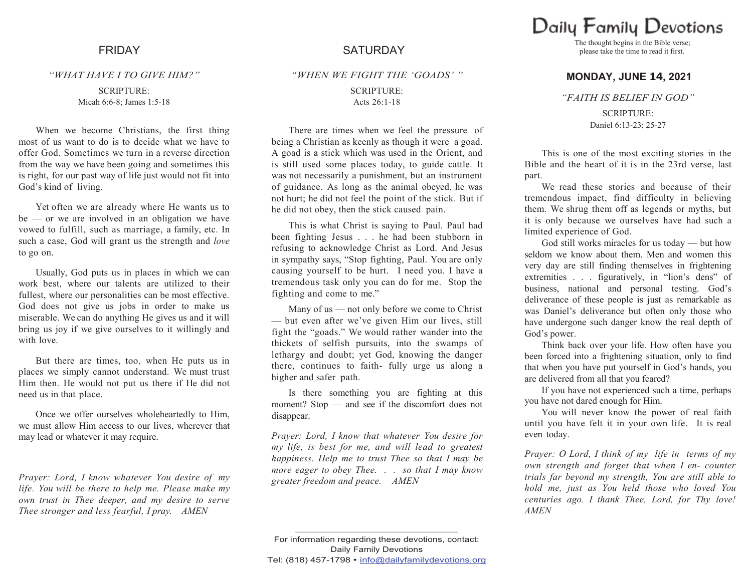#### *"WHAT HAVE I TO GIVE HIM?"*

SCRIPTURE: Micah 6:6-8; James 1:5-18

When we become Christians, the first thing most of us want to do is to decide what we have to offer God. Sometimes we turn in a reverse direction from the way we have been going and sometimes this is right, for our past way of life just would not fit into God's kind of living.

Yet often we are already where He wants us to be — or we are involved in an obligation we have vowed to fulfill, such as marriage, a family, etc. In such a case, God will grant us the strength and *love*  to go on.

Usually, God puts us in places in which we can work best, where our talents are utilized to their fullest, where our personalities can be most effective. God does not give us jobs in order to make us miserable. We can do anything He gives us and it will bring us joy if we give ourselves to it willingly and with love.

But there are times, too, when He puts us in places we simply cannot understand. We must trust Him then. He would not put us there if He did not need us in that place.

Once we offer ourselves wholeheartedly to Him, we must allow Him access to our lives, wherever that may lead or whatever it may require.

*Prayer: Lord, I know whatever You desire of my life. You will be there to help me. Please make my own trust in Thee deeper, and my desire to serve Thee stronger and less fearful, I pray. AMEN*

# FRIDAY SATURDAY

*"WHEN WE FIGHT THE "GOADS" "*

## SCRIPTURE: Acts 26:1-18

There are times when we feel the pressure of being a Christian as keenly as though it were a goad. A goad is a stick which was used in the Orient, and is still used some places today, to guide cattle. It was not necessarily a punishment, but an instrument of guidance. As long as the animal obeyed, he was not hurt; he did not feel the point of the stick. But if he did not obey, then the stick caused pain.

This is what Christ is saying to Paul. Paul had been fighting Jesus . . . he had been stubborn in refusing to acknowledge Christ as Lord. And Jesus in sympathy says, "Stop fighting, Paul. You are only causing yourself to be hurt. I need you. I have a tremendous task only you can do for me. Stop the fighting and come to me."

Many of us — not only before we come to Christ — but even after we've given Him our lives, still fight the "goads." We would rather wander into the thickets of selfish pursuits, into the swamps of lethargy and doubt; yet God, knowing the danger there, continues to faith- fully urge us along a higher and safer path.

Is there something you are fighting at this moment? Stop — and see if the discomfort does not disappear.

*Prayer: Lord, I know that whatever You desire for my life, is best for me, and will lead to greatest happiness. Help me to trust Thee so that I may be more eager to obey Thee. . . so that I may know greater freedom and peace. AMEN*

Daily Family Devotions

The thought begins in the Bible verse; please take the time to read it first.

## **MONDAY, JUNE 14, 2021**

*"FAITH IS BELIEF IN GOD"*

SCRIPTURE: Daniel 6:13-23; 25-27

This is one of the most exciting stories in the Bible and the heart of it is in the 23rd verse, last part.

We read these stories and because of their tremendous impact, find difficulty in believing them. We shrug them off as legends or myths, but it is only because we ourselves have had such a limited experience of God.

God still works miracles for us today — but how seldom we know about them. Men and women this very day are still finding themselves in frightening extremities . . . figuratively, in "lion's dens" of business, national and personal testing. God's deliverance of these people is just as remarkable as was Daniel's deliverance but often only those who have undergone such danger know the real depth of God's power.

Think back over your life. How often have you been forced into a frightening situation, only to find that when you have put yourself in God's hands, you are delivered from all that you feared?

If you have not experienced such a time, perhaps you have not dared enough for Him.

You will never know the power of real faith until you have felt it in your own life. It is real even today.

*Prayer: O Lord, I think of my life in terms of my own strength and forget that when I en- counter trials far beyond my strength, You are still able to hold me, just as You held those who loved You centuries ago. I thank Thee, Lord, for Thy love! AMEN*

For information regarding these devotions, contact: Daily Family Devotions Tel: (818) 457-1798 • info@dailyfamilydevotions.org

**\_\_\_\_\_\_\_\_\_\_\_\_\_\_\_\_\_\_\_\_\_\_\_\_\_\_\_\_\_\_\_\_\_\_\_\_\_\_\_\_\_\_\_\_**